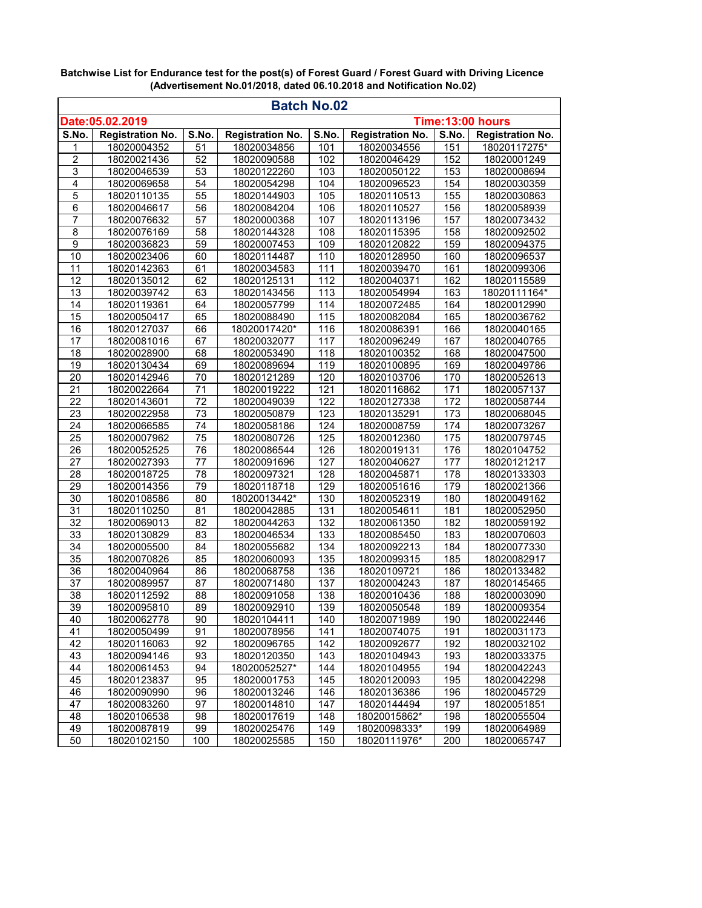|                                     |                         |                 | <b>Batch No.02</b>      |                  |                         |       |                         |
|-------------------------------------|-------------------------|-----------------|-------------------------|------------------|-------------------------|-------|-------------------------|
| Date:05.02.2019<br>Time:13:00 hours |                         |                 |                         |                  |                         |       |                         |
| S.No.                               | <b>Registration No.</b> | S.No.           | <b>Registration No.</b> | S.No.            | <b>Registration No.</b> | S.No. | <b>Registration No.</b> |
| 1                                   | 18020004352             | 51              | 18020034856             | 101              | 18020034556             | 151   | 18020117275*            |
| $\overline{\mathbf{c}}$             | 18020021436             | 52              | 18020090588             | 102              | 18020046429             | 152   | 18020001249             |
| $\overline{3}$                      | 18020046539             | 53              | 18020122260             | 103              | 18020050122             | 153   | 18020008694             |
| $\overline{4}$                      | 18020069658             | 54              | 18020054298             | 104              | 18020096523             | 154   | 18020030359             |
| 5                                   | 18020110135             | 55              | 18020144903             | $\overline{1}05$ | 18020110513             | 155   | 18020030863             |
| 6                                   | 18020046617             | 56              | 18020084204             | 106              | 18020110527             | 156   | 18020058939             |
| 7                                   | 18020076632             | 57              | 18020000368             | 107              | 18020113196             | 157   | 18020073432             |
| 8                                   | 18020076169             | 58              | 18020144328             | 108              | 18020115395             | 158   | 18020092502             |
| $\overline{9}$                      | 18020036823             | 59              | 18020007453             | 109              | 18020120822             | 159   | 18020094375             |
| 10                                  | 18020023406             | 60              | 18020114487             | 110              | 18020128950             | 160   | 18020096537             |
| $\overline{11}$                     | 18020142363             | 61              | 18020034583             | 111              | 18020039470             | 161   | 18020099306             |
| 12                                  | 18020135012             | 62              | 18020125131             | 112              | 18020040371             | 162   | 18020115589             |
| 13                                  | 18020039742             | 63              | 18020143456             | 113              | 18020054994             | 163   | 18020111164*            |
| 14                                  | 18020119361             | 64              | 18020057799             | 114              | 18020072485             | 164   | 18020012990             |
| 15                                  | 18020050417             | 65              | 18020088490             | 115              | 18020082084             | 165   | 18020036762             |
| $\overline{16}$                     | 18020127037             | 66              | 18020017420*            | 116              | 18020086391             | 166   | 18020040165             |
| 17                                  | 18020081016             | 67              | 18020032077             | 117              | 18020096249             | 167   | 18020040765             |
| 18                                  | 18020028900             | 68              | 18020053490             | 118              | 18020100352             | 168   | 18020047500             |
| 19                                  | 18020130434             | 69              | 18020089694             | 119              | 18020100895             | 169   | 18020049786             |
| 20                                  | 18020142946             | 70              | 18020121289             | 120              | 18020103706             | 170   | 18020052613             |
| $\overline{21}$                     | 18020022664             | $\overline{71}$ | 18020019222             | 121              | 18020116862             | 171   | 18020057137             |
| $\overline{22}$                     | 18020143601             | 72              | 18020049039             | 122              | 18020127338             | 172   | 18020058744             |
| 23                                  | 18020022958             | 73              | 18020050879             | 123              | 18020135291             | 173   | 18020068045             |
| $\overline{24}$                     | 18020066585             | 74              | 18020058186             | 124              | 18020008759             | 174   | 18020073267             |
| $\overline{25}$                     | 18020007962             | $\overline{75}$ | 18020080726             | 125              | 18020012360             | 175   | 18020079745             |
| 26                                  | 18020052525             | 76              | 18020086544             | 126              | 18020019131             | 176   | 18020104752             |
| 27                                  | 18020027393             | 77              | 18020091696             | 127              | 18020040627             | 177   | 18020121217             |
| $\overline{28}$                     | 18020018725             | $\overline{78}$ | 18020097321             | 128              | 18020045871             | 178   | 18020133303             |
| 29                                  | 18020014356             | 79              | 18020118718             | 129              | 18020051616             | 179   | 18020021366             |
| 30                                  | 18020108586             | 80              | 18020013442*            | 130              | 18020052319             | 180   | 18020049162             |
| 31                                  | 18020110250             | 81              | 18020042885             | 131              | 18020054611             | 181   | 18020052950             |
| 32                                  | 18020069013             | 82              | 18020044263             | 132              | 18020061350             | 182   | 18020059192             |
| 33                                  | 18020130829             | 83              | 18020046534             | 133              | 18020085450             | 183   | 18020070603             |
| 34                                  | 18020005500             | 84              | 18020055682             | 134              | 18020092213             | 184   | 18020077330             |
| $\overline{35}$                     | 18020070826             | 85              | 18020060093             | 135              | 18020099315             | 185   | 18020082917             |
| 36                                  | 18020040964             | 86              | 18020068758             | 136              | 18020109721             | 186   | 18020133482             |
| $\overline{37}$                     | 18020089957             | 87              | 18020071480             | 137              | 18020004243             | 187   | 18020145465             |
| 38                                  | 18020112592             | 88              | 18020091058             | 138              | 18020010436             | 188   | 18020003090             |
| 39                                  | 18020095810             | 89              | 18020092910             | 139              | 18020050548             | 189   | 18020009354             |
| 40                                  | 18020062778             | 90              | 18020104411             | 140              | 18020071989             | 190   | 18020022446             |
| 41                                  | 18020050499             | 91              | 18020078956             | 141              | 18020074075             | 191   | 18020031173             |
| 42                                  | 18020116063             | 92              | 18020096765             | 142              | 18020092677             | 192   | 18020032102             |
| 43                                  | 18020094146             | 93              | 18020120350             | 143              | 18020104943             | 193   | 18020033375             |
| 44                                  | 18020061453             | 94              | 18020052527*            | 144              | 18020104955             | 194   | 18020042243             |
| 45                                  | 18020123837             | 95              | 18020001753             | 145              | 18020120093             | 195   | 18020042298             |
| 46                                  | 18020090990             | 96              | 18020013246             | 146              | 18020136386             | 196   | 18020045729             |
| 47                                  | 18020083260             | 97              | 18020014810             | 147              | 18020144494             | 197   | 18020051851             |
| 48                                  | 18020106538             | 98              | 18020017619             | 148              | 18020015862*            | 198   | 18020055504             |
| 49                                  | 18020087819             | 99              | 18020025476             | 149              | 18020098333*            | 199   | 18020064989             |
| 50                                  | 18020102150             | 100             | 18020025585             | 150              | 18020111976*            | 200   | 18020065747             |

**Batchwise List for Endurance test for the post(s) of Forest Guard / Forest Guard with Driving Licence (Advertisement No.01/2018, dated 06.10.2018 and Notification No.02)**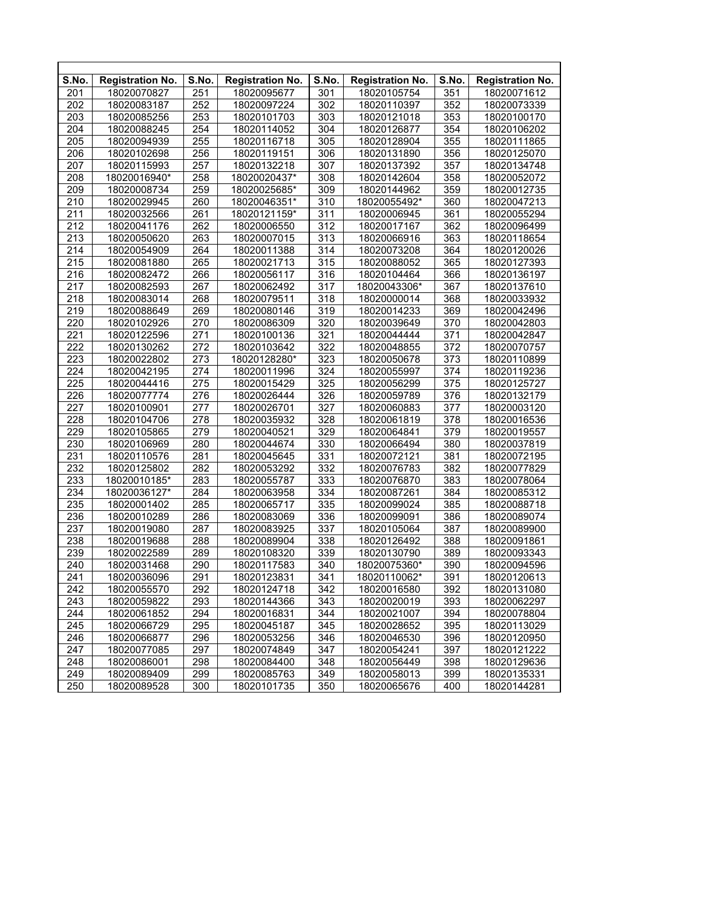| S.No. | <b>Registration No.</b> | S.No.            | <b>Registration No.</b> | S.No. | <b>Registration No.</b> | S.No.            | <b>Registration No.</b> |
|-------|-------------------------|------------------|-------------------------|-------|-------------------------|------------------|-------------------------|
| 201   | 18020070827             | 251              | 18020095677             | 301   | 18020105754             | 351              | 18020071612             |
| 202   | 18020083187             | 252              | 18020097224             | 302   | 18020110397             | 352              | 18020073339             |
| 203   | 18020085256             | 253              | 18020101703             | 303   | 18020121018             | 353              | 18020100170             |
| 204   | 18020088245             | 254              | 18020114052             | 304   | 18020126877             | 354              | 18020106202             |
| 205   | 18020094939             | 255              | 18020116718             | 305   | 18020128904             | 355              | 18020111865             |
| 206   | 18020102698             | 256              | 18020119151             | 306   | 18020131890             | 356              | 18020125070             |
| 207   | 18020115993             | 257              | 18020132218             | 307   | 18020137392             | 357              | 18020134748             |
| 208   | 18020016940*            | 258              | 18020020437*            | 308   | 18020142604             | 358              | 18020052072             |
| 209   | 18020008734             | 259              | 18020025685*            | 309   | 18020144962             | 359              | 18020012735             |
| 210   | 18020029945             | 260              | 18020046351*            | 310   | 18020055492*            | 360              | 18020047213             |
| 211   | 18020032566             | 261              | 18020121159*            | 311   | 18020006945             | 361              | 18020055294             |
| 212   | 18020041176             | 262              | 18020006550             | 312   | 18020017167             | 362              | 18020096499             |
| 213   | 18020050620             | 263              | 18020007015             | 313   | 18020066916             | 363              | 18020118654             |
| 214   | 18020054909             | 264              | 18020011388             | 314   | 18020073208             | 364              | 18020120026             |
| 215   | 18020081880             | 265              | 18020021713             | 315   | 18020088052             | 365              | 18020127393             |
| 216   | 18020082472             | 266              | 18020056117             | 316   | 18020104464             | 366              | 18020136197             |
| 217   | 18020082593             | 267              | 18020062492             | 317   | 18020043306*            | 367              | 18020137610             |
| 218   | 18020083014             | 268              | 18020079511             | 318   | 18020000014             | 368              | 18020033932             |
| 219   | 18020088649             | 269              | 18020080146             | 319   | 18020014233             | 369              | 18020042496             |
| 220   | 18020102926             | 270              | 18020086309             | 320   | 18020039649             | 370              | 18020042803             |
| 221   | 18020122596             | 271              | 18020100136             | 321   | 18020044444             | 371              | 18020042847             |
| 222   | 18020130262             | 272              | 18020103642             | 322   | 18020048855             | 372              | 18020070757             |
| 223   | 18020022802             | 273              | 18020128280*            | 323   | 18020050678             | 373              | 18020110899             |
| 224   | 18020042195             | 274              | 18020011996             | 324   | 18020055997             | 374              | 18020119236             |
| 225   | 18020044416             | 275              | 18020015429             | 325   | 18020056299             | 375              | 18020125727             |
| 226   | 18020077774             | 276              | 18020026444             | 326   | 18020059789             | 376              | 18020132179             |
| 227   | 18020100901             | 277              | 18020026701             | 327   | 18020060883             | 377              | 18020003120             |
| 228   | 18020104706             | $\overline{278}$ | 18020035932             | 328   | 18020061819             | $\overline{378}$ | 18020016536             |
| 229   | 18020105865             | 279              | 18020040521             | 329   | 18020064841             | 379              | 18020019557             |
| 230   | 18020106969             | 280              | 18020044674             | 330   | 18020066494             | 380              | 18020037819             |
| 231   | 18020110576             | 281              | 18020045645             | 331   | 18020072121             | 381              | 18020072195             |
| 232   | 18020125802             | 282              | 18020053292             | 332   | 18020076783             | 382              | 18020077829             |
| 233   | 18020010185*            | 283              | 18020055787             | 333   | 18020076870             | 383              | 18020078064             |
| 234   | 18020036127*            | 284              | 18020063958             | 334   | 18020087261             | 384              | 18020085312             |
| 235   | 18020001402             | 285              | 18020065717             | 335   | 18020099024             | 385              | 18020088718             |
| 236   | 18020010289             | 286              | 18020083069             | 336   | 18020099091             | 386              | 18020089074             |
| 237   | 18020019080             | 287              | 18020083925             | 337   | 18020105064             | 387              | 18020089900             |
| 238   | 18020019688             | 288              | 18020089904             | 338   | 18020126492             | 388              | 18020091861             |
| 239   | 18020022589             | 289              | 18020108320             | 339   | 18020130790             | 389              | 18020093343             |
| 240   | 18020031468             | 290              | 18020117583             | 340   | 18020075360*            | 390              | 18020094596             |
| 241   | 18020036096             | 291              | 18020123831             | 341   | 18020110062*            | 391              | 18020120613             |
| 242   | 18020055570             | 292              | 18020124718             | 342   | 18020016580             | 392              | 18020131080             |
| 243   | 18020059822             | 293              | 18020144366             | 343   | 18020020019             | 393              | 18020062297             |
| 244   | 18020061852             | 294              | 18020016831             | 344   | 18020021007             | 394              | 18020078804             |
| 245   | 18020066729             | 295              | 18020045187             | 345   | 18020028652             | 395              | 18020113029             |
| 246   | 18020066877             | 296              | 18020053256             | 346   | 18020046530             | 396              | 18020120950             |
| 247   | 18020077085             | 297              | 18020074849             | 347   | 18020054241             | 397              | 18020121222             |
| 248   | 18020086001             | 298              | 18020084400             | 348   | 18020056449             | 398              | 18020129636             |
| 249   | 18020089409             | 299              | 18020085763             | 349   | 18020058013             | 399              | 18020135331             |
| 250   | 18020089528             | 300              | 18020101735             | 350   | 18020065676             | 400              | 18020144281             |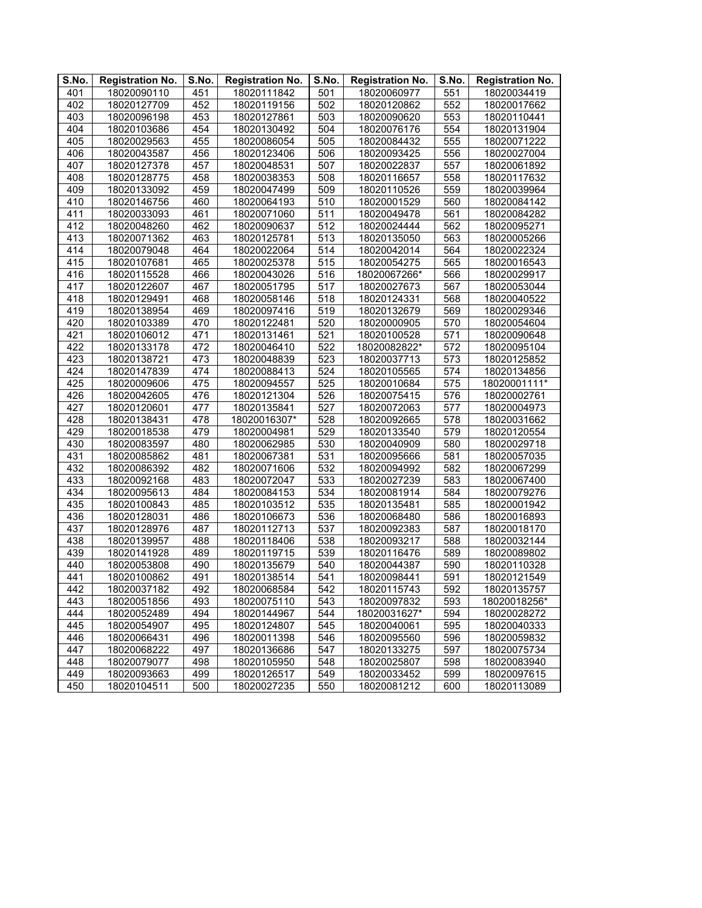| S.No. | <b>Registration No.</b> | S.No.            | <b>Registration No.</b> | S.No. | <b>Registration No.</b> | S.No. | <b>Registration No.</b> |
|-------|-------------------------|------------------|-------------------------|-------|-------------------------|-------|-------------------------|
| 401   | 18020090110             | 451              | 18020111842             | 501   | 18020060977             | 551   | 18020034419             |
| 402   | 18020127709             | 452              | 18020119156             | 502   | 18020120862             | 552   | 18020017662             |
| 403   | 18020096198             | 453              | 18020127861             | 503   | 18020090620             | 553   | 18020110441             |
| 404   | 18020103686             | 454              | 18020130492             | 504   | 18020076176             | 554   | 18020131904             |
| 405   | 18020029563             | 455              | 18020086054             | 505   | 18020084432             | 555   | 18020071222             |
| 406   | 18020043587             | 456              | 18020123406             | 506   | 18020093425             | 556   | 18020027004             |
| 407   | 18020127378             | 457              | 18020048531             | 507   | 18020022837             | 557   | 18020061892             |
| 408   | 18020128775             | 458              | 18020038353             | 508   | 18020116657             | 558   | 18020117632             |
| 409   | 18020133092             | 459              | 18020047499             | 509   | 18020110526             | 559   | 18020039964             |
| 410   | 18020146756             | 460              | 18020064193             | 510   | 18020001529             | 560   | 18020084142             |
| 411   | 18020033093             | 461              | 18020071060             | 511   | 18020049478             | 561   | 18020084282             |
| 412   | 18020048260             | 462              | 18020090637             | 512   | 18020024444             | 562   | 18020095271             |
| 413   | 18020071362             | 463              | 18020125781             | 513   | 18020135050             | 563   | 18020005266             |
| 414   | 18020079048             | 464              | 18020022064             | 514   | 18020042014             | 564   | 18020022324             |
| 415   | 18020107681             | 465              | 18020025378             | 515   | 18020054275             | 565   | 18020016543             |
| 416   | 18020115528             | 466              | 18020043026             | 516   | 18020067266*            | 566   | 18020029917             |
| 417   | 18020122607             | 467              | 18020051795             | 517   | 18020027673             | 567   | 18020053044             |
| 418   | 18020129491             | 468              | 18020058146             | 518   | 18020124331             | 568   | 18020040522             |
| 419   | 18020138954             | 469              | 18020097416             | 519   | 18020132679             | 569   | 18020029346             |
| 420   | 18020103389             | 470              | 18020122481             | 520   | 18020000905             | 570   | 18020054604             |
| 421   | 18020106012             | 471              | 18020131461             | 521   | 18020100528             | 571   | 18020090648             |
| 422   | 18020133178             | 472              | 18020046410             | 522   | 18020082822*            | 572   | 18020095104             |
| 423   | 18020138721             | 473              | 18020048839             | 523   | 18020037713             | 573   | 18020125852             |
| 424   | 18020147839             | 474              | 18020088413             | 524   | 18020105565             | 574   | 18020134856             |
| 425   | 18020009606             | 475              | 18020094557             | 525   | 18020010684             | 575   | 18020001111*            |
| 426   | 18020042605             | 476              | 18020121304             | 526   | 18020075415             | 576   | 18020002761             |
| 427   | 18020120601             | $\overline{477}$ | 18020135841             | 527   | 18020072063             | 577   | 18020004973             |
| 428   | 18020138431             | 478              | 18020016307*            | 528   | 18020092665             | 578   | 18020031662             |
| 429   | 18020018538             | 479              | 18020004981             | 529   | 18020133540             | 579   | 18020120554             |
| 430   | 18020083597             | 480              | 18020062985             | 530   | 18020040909             | 580   | 18020029718             |
| 431   | 18020085862             | 481              | 18020067381             | 531   | 18020095666             | 581   | 18020057035             |
| 432   | 18020086392             | 482              | 18020071606             | 532   | 18020094992             | 582   | 18020067299             |
| 433   | 18020092168             | 483              | 18020072047             | 533   | 18020027239             | 583   | 18020067400             |
| 434   | 18020095613             | 484              | 18020084153             | 534   | 18020081914             | 584   | 18020079276             |
| 435   | 18020100843             | 485              | 18020103512             | 535   | 18020135481             | 585   | 18020001942             |
| 436   | 18020128031             | 486              | 18020106673             | 536   | 18020068480             | 586   | 18020016893             |
| 437   | 18020128976             | 487              | 18020112713             | 537   | 18020092383             | 587   | 18020018170             |
| 438   | 18020139957             | 488              | 18020118406             | 538   | 18020093217             | 588   | 18020032144             |
| 439   | 18020141928             | 489              | 18020119715             | 539   | 18020116476             | 589   | 18020089802             |
| 440   | 18020053808             | 490              | 18020135679             | 540   | 18020044387             | 590   | 18020110328             |
| 441   | 18020100862             | 491              | 18020138514             | 541   | 18020098441             | 591   | 18020121549             |
| 442   | 18020037182             | 492              | 18020068584             | 542   | 18020115743             | 592   | 18020135757             |
| 443   | 18020051856             | 493              | 18020075110             | 543   | 18020097832             | 593   | 18020018256*            |
| 444   | 18020052489             | 494              | 18020144967             | 544   | 18020031627*            | 594   | 18020028272             |
| 445   | 18020054907             | 495              | 18020124807             | 545   | 18020040061             | 595   | 18020040333             |
| 446   | 18020066431             | 496              | 18020011398             | 546   | 18020095560             | 596   | 18020059832             |
| 447   | 18020068222             | 497              | 18020136686             | 547   | 18020133275             | 597   | 18020075734             |
| 448   | 18020079077             | 498              | 18020105950             | 548   | 18020025807             | 598   | 18020083940             |
| 449   | 18020093663             | 499              | 18020126517             | 549   | 18020033452             | 599   | 18020097615             |
| 450   | 18020104511             | 500              | 18020027235             | 550   | 18020081212             | 600   | 18020113089             |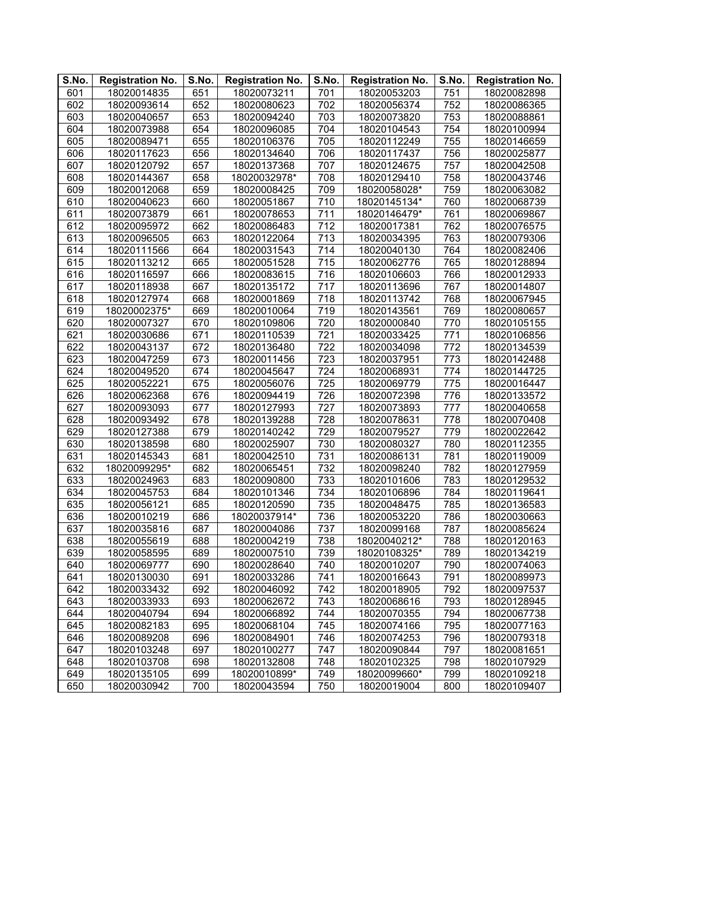| $\overline{\mathsf{S}}$ . No. | <b>Registration No.</b> | S.No. | <b>Registration No.</b> | S.No. | <b>Registration No.</b> | S.No. | <b>Registration No.</b> |
|-------------------------------|-------------------------|-------|-------------------------|-------|-------------------------|-------|-------------------------|
| 601                           | 18020014835             | 651   | 18020073211             | 701   | 18020053203             | 751   | 18020082898             |
| 602                           | 18020093614             | 652   | 18020080623             | 702   | 18020056374             | 752   | 18020086365             |
| 603                           | 18020040657             | 653   | 18020094240             | 703   | 18020073820             | 753   | 18020088861             |
| 604                           | 18020073988             | 654   | 18020096085             | 704   | 18020104543             | 754   | 18020100994             |
| 605                           | 18020089471             | 655   | 18020106376             | 705   | 18020112249             | 755   | 18020146659             |
| 606                           | 18020117623             | 656   | 18020134640             | 706   | 18020117437             | 756   | 18020025877             |
| 607                           | 18020120792             | 657   | 18020137368             | 707   | 18020124675             | 757   | 18020042508             |
| 608                           | 18020144367             | 658   | 18020032978*            | 708   | 18020129410             | 758   | 18020043746             |
| 609                           | 18020012068             | 659   | 18020008425             | 709   | 18020058028*            | 759   | 18020063082             |
| 610                           | 18020040623             | 660   | 18020051867             | 710   | 18020145134*            | 760   | 18020068739             |
| 611                           | 18020073879             | 661   | 18020078653             | 711   | 18020146479*            | 761   | 18020069867             |
| 612                           | 18020095972             | 662   | 18020086483             | 712   | 18020017381             | 762   | 18020076575             |
| 613                           | 18020096505             | 663   | 18020122064             | 713   | 18020034395             | 763   | 18020079306             |
| 614                           | 18020111566             | 664   | 18020031543             | 714   | 18020040130             | 764   | 18020082406             |
| 615                           | 18020113212             | 665   | 18020051528             | 715   | 18020062776             | 765   | 18020128894             |
| 616                           | 18020116597             | 666   | 18020083615             | 716   | 18020106603             | 766   | 18020012933             |
| 617                           | 18020118938             | 667   | 18020135172             | 717   | 18020113696             | 767   | 18020014807             |
| 618                           | 18020127974             | 668   | 18020001869             | 718   | 18020113742             | 768   | 18020067945             |
| 619                           | 18020002375*            | 669   | 18020010064             | 719   | 18020143561             | 769   | 18020080657             |
| 620                           | 18020007327             | 670   | 18020109806             | 720   | 18020000840             | 770   | 18020105155             |
| 621                           | 18020030686             | 671   | 18020110539             | 721   | 18020033425             | 771   | 18020106856             |
| 622                           | 18020043137             | 672   | 18020136480             | 722   | 18020034098             | 772   | 18020134539             |
| 623                           | 18020047259             | 673   | 18020011456             | 723   | 18020037951             | 773   | 18020142488             |
| 624                           | 18020049520             | 674   | 18020045647             | 724   | 18020068931             | 774   | 18020144725             |
| 625                           | 18020052221             | 675   | 18020056076             | 725   | 18020069779             | 775   | 18020016447             |
| 626                           | 18020062368             | 676   | 18020094419             | 726   | 18020072398             | 776   | 18020133572             |
| 627                           | 18020093093             | 677   | 18020127993             | 727   | 18020073893             | 777   | 18020040658             |
| 628                           | 18020093492             | 678   | 18020139288             | 728   | 18020078631             | 778   | 18020070408             |
| 629                           | 18020127388             | 679   | 18020140242             | 729   | 18020079527             | 779   | 18020022642             |
| 630                           | 18020138598             | 680   | 18020025907             | 730   | 18020080327             | 780   | 18020112355             |
| 631                           | 18020145343             | 681   | 18020042510             | 731   | 18020086131             | 781   | 18020119009             |
| 632                           | 18020099295*            | 682   | 18020065451             | 732   | 18020098240             | 782   | 18020127959             |
| 633                           | 18020024963             | 683   | 18020090800             | 733   | 18020101606             | 783   | 18020129532             |
| 634                           | 18020045753             | 684   | 18020101346             | 734   | 18020106896             | 784   | 18020119641             |
| 635                           | 18020056121             | 685   | 18020120590             | 735   | 18020048475             | 785   | 18020136583             |
| 636                           | 18020010219             | 686   | 18020037914*            | 736   | 18020053220             | 786   | 18020030663             |
| 637                           | 18020035816             | 687   | 18020004086             | 737   | 18020099168             | 787   | 18020085624             |
| 638                           | 18020055619             | 688   | 18020004219             | 738   | 18020040212*            | 788   | 18020120163             |
| 639                           | 18020058595             | 689   | 18020007510             | 739   | 18020108325*            | 789   | 18020134219             |
| 640                           | 18020069777             | 690   | 18020028640             | 740   | 18020010207             | 790   | 18020074063             |
| 641                           | 18020130030             | 691   | 18020033286             | 741   | 18020016643             | 791   | 18020089973             |
| 642                           | 18020033432             | 692   | 18020046092             | 742   | 18020018905             | 792   | 18020097537             |
| 643                           | 18020033933             | 693   | 18020062672             | 743   | 18020068616             | 793   | 18020128945             |
| 644                           | 18020040794             | 694   | 18020066892             | 744   | 18020070355             | 794   | 18020067738             |
| 645                           | 18020082183             | 695   | 18020068104             | 745   | 18020074166             | 795   | 18020077163             |
| 646                           | 18020089208             | 696   | 18020084901             | 746   | 18020074253             | 796   | 18020079318             |
| 647                           | 18020103248             | 697   | 18020100277             | 747   | 18020090844             | 797   | 18020081651             |
| 648                           | 18020103708             | 698   | 18020132808             | 748   | 18020102325             | 798   | 18020107929             |
| 649                           | 18020135105             | 699   | 18020010899*            | 749   | 18020099660*            | 799   | 18020109218             |
| 650                           | 18020030942             | 700   | 18020043594             | 750   | 18020019004             | 800   | 18020109407             |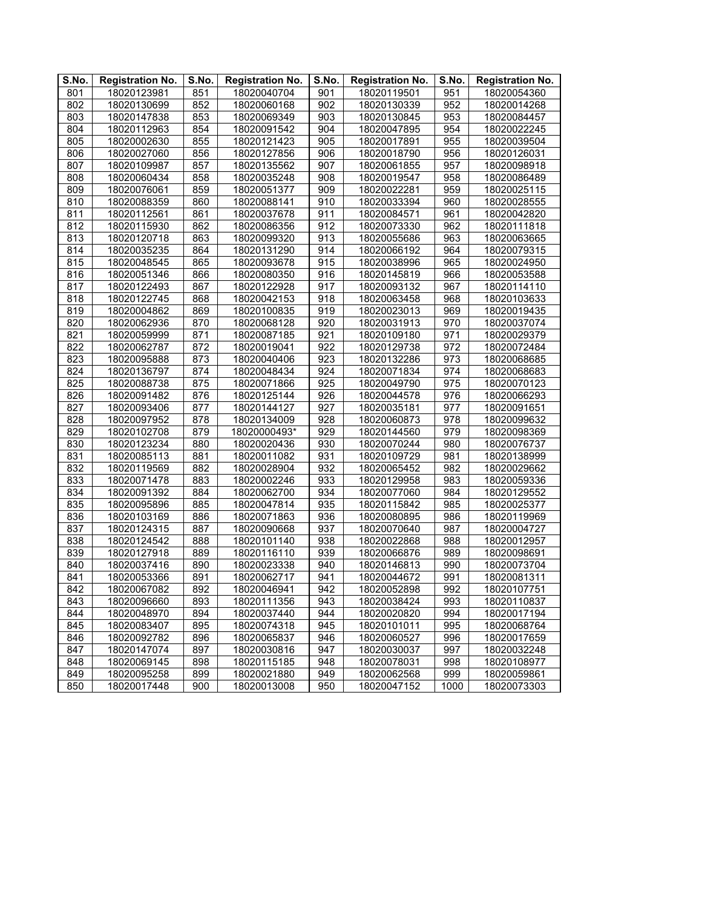| S.No. | <b>Registration No.</b> | S.No. | <b>Registration No.</b> | S.No. | <b>Registration No.</b> | S.No. | <b>Registration No.</b> |
|-------|-------------------------|-------|-------------------------|-------|-------------------------|-------|-------------------------|
| 801   | 18020123981             | 851   | 18020040704             | 901   | 18020119501             | 951   | 18020054360             |
| 802   | 18020130699             | 852   | 18020060168             | 902   | 18020130339             | 952   | 18020014268             |
| 803   | 18020147838             | 853   | 18020069349             | 903   | 18020130845             | 953   | 18020084457             |
| 804   | 18020112963             | 854   | 18020091542             | 904   | 18020047895             | 954   | 18020022245             |
| 805   | 18020002630             | 855   | 18020121423             | 905   | 18020017891             | 955   | 18020039504             |
| 806   | 18020027060             | 856   | 18020127856             | 906   | 18020018790             | 956   | 18020126031             |
| 807   | 18020109987             | 857   | 18020135562             | 907   | 18020061855             | 957   | 18020098918             |
| 808   | 18020060434             | 858   | 18020035248             | 908   | 18020019547             | 958   | 18020086489             |
| 809   | 18020076061             | 859   | 18020051377             | 909   | 18020022281             | 959   | 18020025115             |
| 810   | 18020088359             | 860   | 18020088141             | 910   | 18020033394             | 960   | 18020028555             |
| 811   | 18020112561             | 861   | 18020037678             | 911   | 18020084571             | 961   | 18020042820             |
| 812   | 18020115930             | 862   | 18020086356             | 912   | 18020073330             | 962   | 18020111818             |
| 813   | 18020120718             | 863   | 18020099320             | 913   | 18020055686             | 963   | 18020063665             |
| 814   | 18020035235             | 864   | 18020131290             | 914   | 18020066192             | 964   | 18020079315             |
| 815   | 18020048545             | 865   | 18020093678             | 915   | 18020038996             | 965   | 18020024950             |
| 816   | 18020051346             | 866   | 18020080350             | 916   | 18020145819             | 966   | 18020053588             |
| 817   | 18020122493             | 867   | 18020122928             | 917   | 18020093132             | 967   | 18020114110             |
| 818   | 18020122745             | 868   | 18020042153             | 918   | 18020063458             | 968   | 18020103633             |
| 819   | 18020004862             | 869   | 18020100835             | 919   | 18020023013             | 969   | 18020019435             |
| 820   | 18020062936             | 870   | 18020068128             | 920   | 18020031913             | 970   | 18020037074             |
| 821   | 18020059999             | 871   | 18020087185             | 921   | 18020109180             | 971   | 18020029379             |
| 822   | 18020062787             | 872   | 18020019041             | 922   | 18020129738             | 972   | 18020072484             |
| 823   | 18020095888             | 873   | 18020040406             | 923   | 18020132286             | 973   | 18020068685             |
| 824   | 18020136797             | 874   | 18020048434             | 924   | 18020071834             | 974   | 18020068683             |
| 825   | 18020088738             | 875   | 18020071866             | 925   | 18020049790             | 975   | 18020070123             |
| 826   | 18020091482             | 876   | 18020125144             | 926   | 18020044578             | 976   | 18020066293             |
| 827   | 18020093406             | 877   | 18020144127             | 927   | 18020035181             | 977   | 18020091651             |
| 828   | 18020097952             | 878   | 18020134009             | 928   | 18020060873             | 978   | 18020099632             |
| 829   | 18020102708             | 879   | 18020000493*            | 929   | 18020144560             | 979   | 18020098369             |
| 830   | 18020123234             | 880   | 18020020436             | 930   | 18020070244             | 980   | 18020076737             |
| 831   | 18020085113             | 881   | 18020011082             | 931   | 18020109729             | 981   | 18020138999             |
| 832   | 18020119569             | 882   | 18020028904             | 932   | 18020065452             | 982   | 18020029662             |
| 833   | 18020071478             | 883   | 18020002246             | 933   | 18020129958             | 983   | 18020059336             |
| 834   | 18020091392             | 884   | 18020062700             | 934   | 18020077060             | 984   | 18020129552             |
| 835   | 18020095896             | 885   | 18020047814             | 935   | 18020115842             | 985   | 18020025377             |
| 836   | 18020103169             | 886   | 18020071863             | 936   | 18020080895             | 986   | 18020119969             |
| 837   | 18020124315             | 887   | 18020090668             | 937   | 18020070640             | 987   | 18020004727             |
| 838   | 18020124542             | 888   | 18020101140             | 938   | 18020022868             | 988   | 18020012957             |
| 839   | 18020127918             | 889   | 18020116110             | 939   | 18020066876             | 989   | 18020098691             |
| 840   | 18020037416             | 890   | 18020023338             | 940   | 18020146813             | 990   | 18020073704             |
| 841   | 18020053366             | 891   | 18020062717             | 941   | 18020044672             | 991   | 18020081311             |
| 842   | 18020067082             | 892   | 18020046941             | 942   | 18020052898             | 992   | 18020107751             |
| 843   | 18020096660             | 893   | 18020111356             | 943   | 18020038424             | 993   | 18020110837             |
| 844   | 18020048970             | 894   | 18020037440             | 944   | 18020020820             | 994   | 18020017194             |
| 845   | 18020083407             | 895   | 18020074318             | 945   | 18020101011             | 995   | 18020068764             |
| 846   | 18020092782             | 896   | 18020065837             | 946   | 18020060527             | 996   | 18020017659             |
| 847   | 18020147074             | 897   | 18020030816             | 947   | 18020030037             | 997   | 18020032248             |
| 848   | 18020069145             | 898   | 18020115185             | 948   | 18020078031             | 998   | 18020108977             |
| 849   | 18020095258             | 899   | 18020021880             | 949   | 18020062568             | 999   | 18020059861             |
| 850   | 18020017448             | 900   | 18020013008             | 950   | 18020047152             | 1000  | 18020073303             |